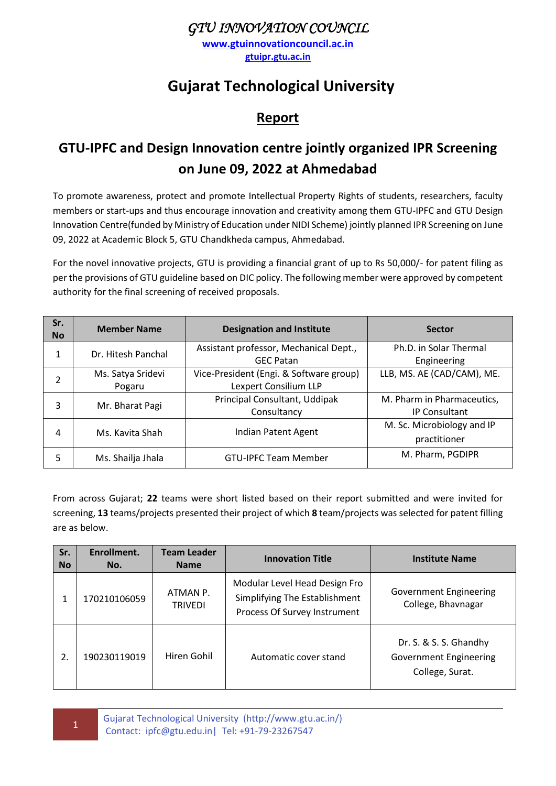#### *GTU INNOVATION COUNCIL*

**[www.gtuinnovationcouncil.ac.in](http://www.gtuinnovationcouncil.ac.in/) gtuipr.gtu.ac.in**

# **Gujarat Technological University**

#### **Report**

## **GTU-IPFC and Design Innovation centre jointly organized IPR Screening on June 09, 2022 at Ahmedabad**

To promote awareness, protect and promote Intellectual Property Rights of students, researchers, faculty members or start-ups and thus encourage innovation and creativity among them GTU-IPFC and GTU Design Innovation Centre(funded by Ministry of Education under NIDI Scheme) jointly planned IPR Screening on June 09, 2022 at Academic Block 5, GTU Chandkheda campus, Ahmedabad.

For the novel innovative projects, GTU is providing a financial grant of up to Rs 50,000/- for patent filing as per the provisions of GTU guideline based on DIC policy. The following member were approved by competent authority for the final screening of received proposals.

| Sr.<br><b>No</b> | <b>Member Name</b>          | <b>Designation and Institute</b>                                 | <b>Sector</b>                                      |
|------------------|-----------------------------|------------------------------------------------------------------|----------------------------------------------------|
| 1                | Dr. Hitesh Panchal          | Assistant professor, Mechanical Dept.,<br><b>GEC Patan</b>       | Ph.D. in Solar Thermal<br>Engineering              |
| $\mathfrak{p}$   | Ms. Satya Sridevi<br>Pogaru | Vice-President (Engi. & Software group)<br>Lexpert Consilium LLP | LLB, MS. AE (CAD/CAM), ME.                         |
| 3                | Mr. Bharat Pagi             | Principal Consultant, Uddipak<br>Consultancy                     | M. Pharm in Pharmaceutics,<br><b>IP Consultant</b> |
| 4                | Ms. Kavita Shah             | Indian Patent Agent                                              | M. Sc. Microbiology and IP<br>practitioner         |
| 5                | Ms. Shailja Jhala           | <b>GTU-IPFC Team Member</b>                                      | M. Pharm, PGDIPR                                   |

From across Gujarat; **22** teams were short listed based on their report submitted and were invited for screening, **13** teams/projects presented their project of which **8** team/projects was selected for patent filling are as below.

| Sr.<br><b>No</b> | Enrollment.<br>No. | <b>Team Leader</b><br><b>Name</b> | <b>Innovation Title</b>                                                                        | <b>Institute Name</b>                                                      |
|------------------|--------------------|-----------------------------------|------------------------------------------------------------------------------------------------|----------------------------------------------------------------------------|
| 1                | 170210106059       | ATMAN P.<br><b>TRIVEDI</b>        | Modular Level Head Design Fro<br>Simplifying The Establishment<br>Process Of Survey Instrument | <b>Government Engineering</b><br>College, Bhavnagar                        |
| 2.               | 190230119019       | Hiren Gohil                       | Automatic cover stand                                                                          | Dr. S. & S. S. Ghandhy<br><b>Government Engineering</b><br>College, Surat. |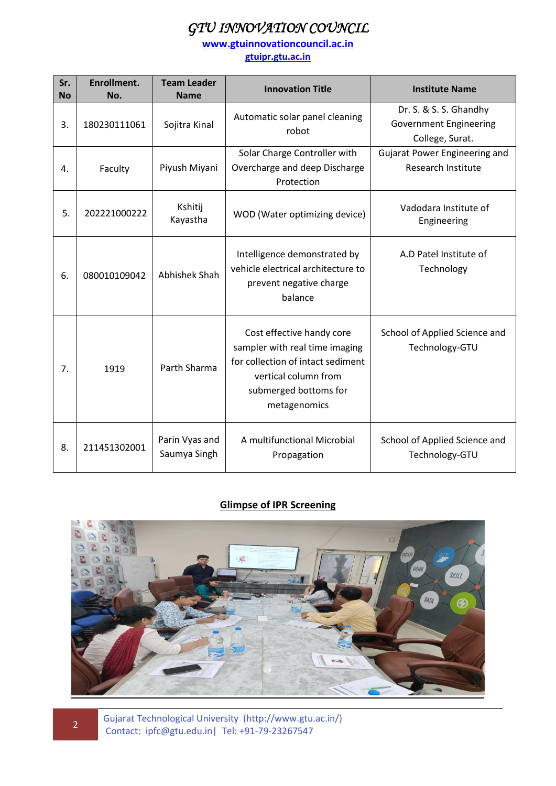## *GTU INNOVATION COUNCIL*

**[www.gtuinnovationcouncil.ac.in](http://www.gtuinnovationcouncil.ac.in/)**

**gtuipr.gtu.ac.in**

| Sr.<br><b>No</b> | Enrollment.<br>No. | <b>Team Leader</b><br><b>Name</b> | <b>Innovation Title</b>                                                                                                                                           | <b>Institute Name</b>                                                      |
|------------------|--------------------|-----------------------------------|-------------------------------------------------------------------------------------------------------------------------------------------------------------------|----------------------------------------------------------------------------|
| 3.               | 180230111061       | Sojitra Kinal                     | Automatic solar panel cleaning<br>robot                                                                                                                           | Dr. S. & S. S. Ghandhy<br><b>Government Engineering</b><br>College, Surat. |
| 4.               | Faculty            | Piyush Miyani                     | Solar Charge Controller with<br>Overcharge and deep Discharge<br>Protection                                                                                       | Gujarat Power Engineering and<br><b>Research Institute</b>                 |
| 5.               | 202221000222       | Kshitij<br>Kayastha               | WOD (Water optimizing device)                                                                                                                                     | Vadodara Institute of<br>Engineering                                       |
| 6.               | 080010109042       | Abhishek Shah                     | Intelligence demonstrated by<br>vehicle electrical architecture to<br>prevent negative charge<br>balance                                                          | A.D Patel Institute of<br>Technology                                       |
| 7.               | 1919               | Parth Sharma                      | Cost effective handy core<br>sampler with real time imaging<br>for collection of intact sediment<br>vertical column from<br>submerged bottoms for<br>metagenomics | School of Applied Science and<br>Technology-GTU                            |
| 8.               | 211451302001       | Parin Vyas and<br>Saumya Singh    | A multifunctional Microbial<br>Propagation                                                                                                                        | School of Applied Science and<br>Technology-GTU                            |

#### **Glimpse of IPR Screening**